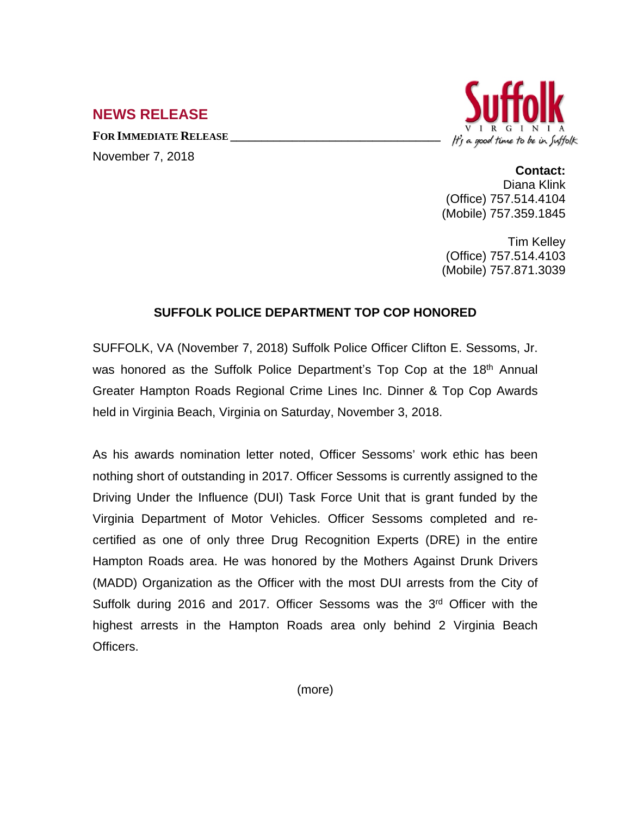## **NEWS RELEASE**

**FOR IMMEDIATE RELEASE \_\_\_\_\_\_\_\_\_\_\_\_\_\_\_\_\_\_\_\_\_\_\_\_\_\_\_\_\_\_\_\_\_\_**





## **Contact:**

Diana Klink (Office) 757.514.4104 (Mobile) 757.359.1845

Tim Kelley (Office) 757.514.4103 (Mobile) 757.871.3039

## **SUFFOLK POLICE DEPARTMENT TOP COP HONORED**

SUFFOLK, VA (November 7, 2018) Suffolk Police Officer Clifton E. Sessoms, Jr. was honored as the Suffolk Police Department's Top Cop at the 18<sup>th</sup> Annual Greater Hampton Roads Regional Crime Lines Inc. Dinner & Top Cop Awards held in Virginia Beach, Virginia on Saturday, November 3, 2018.

As his awards nomination letter noted, Officer Sessoms' work ethic has been nothing short of outstanding in 2017. Officer Sessoms is currently assigned to the Driving Under the Influence (DUI) Task Force Unit that is grant funded by the Virginia Department of Motor Vehicles. Officer Sessoms completed and recertified as one of only three Drug Recognition Experts (DRE) in the entire Hampton Roads area. He was honored by the Mothers Against Drunk Drivers (MADD) Organization as the Officer with the most DUI arrests from the City of Suffolk during 2016 and 2017. Officer Sessoms was the 3<sup>rd</sup> Officer with the highest arrests in the Hampton Roads area only behind 2 Virginia Beach Officers.

(more)